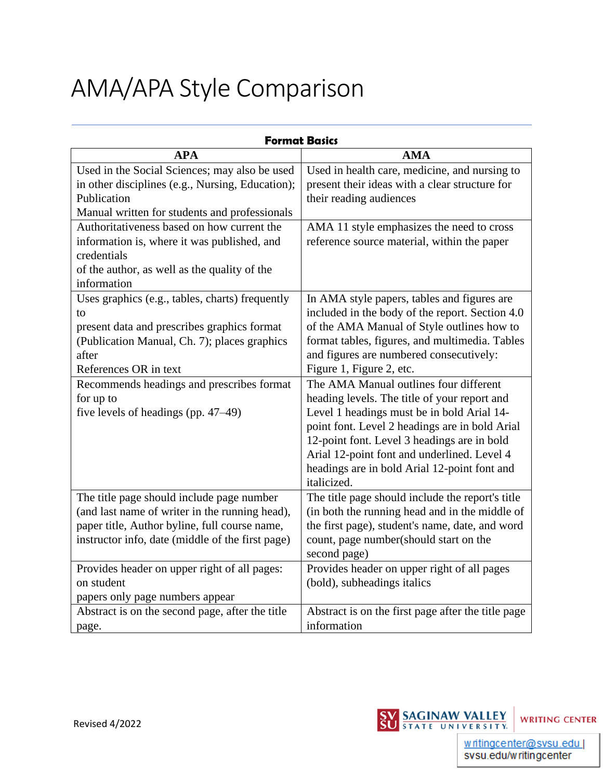# AMA/APA Style Comparison

| <b>Format Basics</b>                             |                                                    |  |
|--------------------------------------------------|----------------------------------------------------|--|
| <b>APA</b>                                       | <b>AMA</b>                                         |  |
| Used in the Social Sciences; may also be used    | Used in health care, medicine, and nursing to      |  |
| in other disciplines (e.g., Nursing, Education); | present their ideas with a clear structure for     |  |
| Publication                                      | their reading audiences                            |  |
| Manual written for students and professionals    |                                                    |  |
| Authoritativeness based on how current the       | AMA 11 style emphasizes the need to cross          |  |
| information is, where it was published, and      | reference source material, within the paper        |  |
| credentials                                      |                                                    |  |
| of the author, as well as the quality of the     |                                                    |  |
| information                                      |                                                    |  |
| Uses graphics (e.g., tables, charts) frequently  | In AMA style papers, tables and figures are        |  |
| to                                               | included in the body of the report. Section 4.0    |  |
| present data and prescribes graphics format      | of the AMA Manual of Style outlines how to         |  |
| (Publication Manual, Ch. 7); places graphics     | format tables, figures, and multimedia. Tables     |  |
| after                                            | and figures are numbered consecutively:            |  |
| References OR in text                            | Figure 1, Figure 2, etc.                           |  |
| Recommends headings and prescribes format        | The AMA Manual outlines four different             |  |
| for up to                                        | heading levels. The title of your report and       |  |
| five levels of headings (pp. $47-49$ )           | Level 1 headings must be in bold Arial 14-         |  |
|                                                  | point font. Level 2 headings are in bold Arial     |  |
|                                                  | 12-point font. Level 3 headings are in bold        |  |
|                                                  | Arial 12-point font and underlined. Level 4        |  |
|                                                  | headings are in bold Arial 12-point font and       |  |
|                                                  | italicized.                                        |  |
| The title page should include page number        | The title page should include the report's title   |  |
| (and last name of writer in the running head),   | (in both the running head and in the middle of     |  |
| paper title, Author byline, full course name,    | the first page), student's name, date, and word    |  |
| instructor info, date (middle of the first page) | count, page number(should start on the             |  |
|                                                  | second page)                                       |  |
| Provides header on upper right of all pages:     | Provides header on upper right of all pages        |  |
| on student                                       | (bold), subheadings italics                        |  |
| papers only page numbers appear                  |                                                    |  |
| Abstract is on the second page, after the title  | Abstract is on the first page after the title page |  |
| page.                                            | information                                        |  |

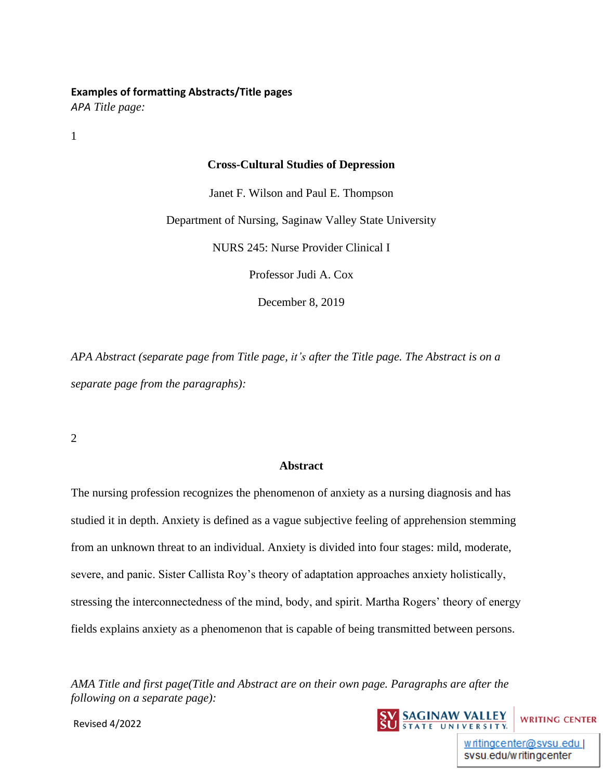#### **Examples of formatting Abstracts/Title pages**

*APA Title page:*

1

#### **Cross-Cultural Studies of Depression**

Janet F. Wilson and Paul E. Thompson

Department of Nursing, Saginaw Valley State University

NURS 245: Nurse Provider Clinical I

Professor Judi A. Cox

December 8, 2019

*APA Abstract (separate page from Title page, it's after the Title page. The Abstract is on a separate page from the paragraphs):*

2

#### **Abstract**

The nursing profession recognizes the phenomenon of anxiety as a nursing diagnosis and has studied it in depth. Anxiety is defined as a vague subjective feeling of apprehension stemming from an unknown threat to an individual. Anxiety is divided into four stages: mild, moderate, severe, and panic. Sister Callista Roy's theory of adaptation approaches anxiety holistically, stressing the interconnectedness of the mind, body, and spirit. Martha Rogers' theory of energy fields explains anxiety as a phenomenon that is capable of being transmitted between persons.

*AMA Title and first page(Title and Abstract are on their own page. Paragraphs are after the following on a separate page):*



Revised 4/2022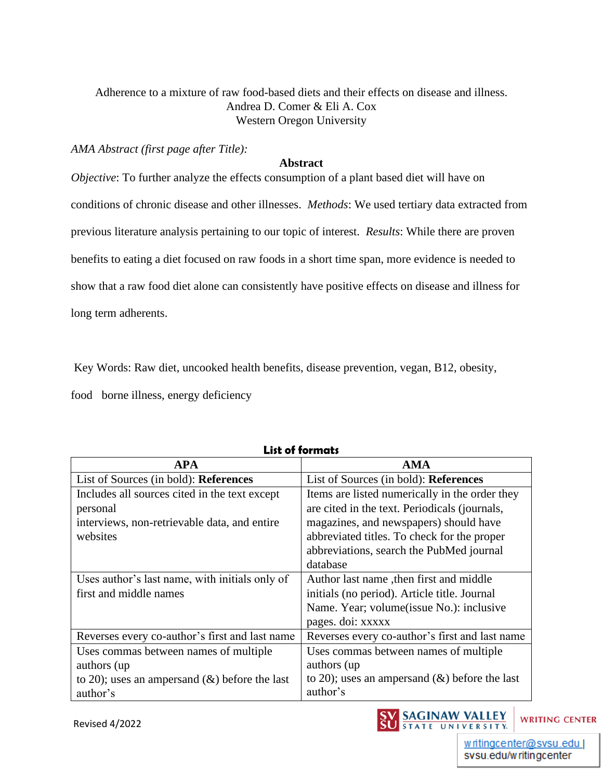# Adherence to a mixture of raw food-based diets and their effects on disease and illness. Andrea D. Comer & Eli A. Cox Western Oregon University

*AMA Abstract (first page after Title):*

#### **Abstract**

*Objective*: To further analyze the effects consumption of a plant based diet will have on conditions of chronic disease and other illnesses. *Methods*: We used tertiary data extracted from previous literature analysis pertaining to our topic of interest. *Results*: While there are proven benefits to eating a diet focused on raw foods in a short time span, more evidence is needed to show that a raw food diet alone can consistently have positive effects on disease and illness for long term adherents.

Key Words: Raw diet, uncooked health benefits, disease prevention, vegan, B12, obesity,

food borne illness, energy deficiency

| <b>APA</b>                                       | <b>AMA</b>                                       |
|--------------------------------------------------|--------------------------------------------------|
| List of Sources (in bold): References            | List of Sources (in bold): References            |
| Includes all sources cited in the text except    | Items are listed numerically in the order they   |
| personal                                         | are cited in the text. Periodicals (journals,    |
| interviews, non-retrievable data, and entire     | magazines, and newspapers) should have           |
| websites                                         | abbreviated titles. To check for the proper      |
|                                                  | abbreviations, search the PubMed journal         |
|                                                  | database                                         |
| Uses author's last name, with initials only of   | Author last name, then first and middle          |
| first and middle names                           | initials (no period). Article title. Journal     |
|                                                  | Name. Year; volume (issue No.): inclusive        |
|                                                  | pages. doi: xxxxx                                |
| Reverses every co-author's first and last name   | Reverses every co-author's first and last name   |
| Uses commas between names of multiple            | Uses commas between names of multiple            |
| authors (up)                                     | authors (up)                                     |
| to 20); uses an ampersand $(\&)$ before the last | to 20); uses an ampersand $(\&)$ before the last |
| author's                                         | author's                                         |

# **List of formats**



svsu.edu/writingcenter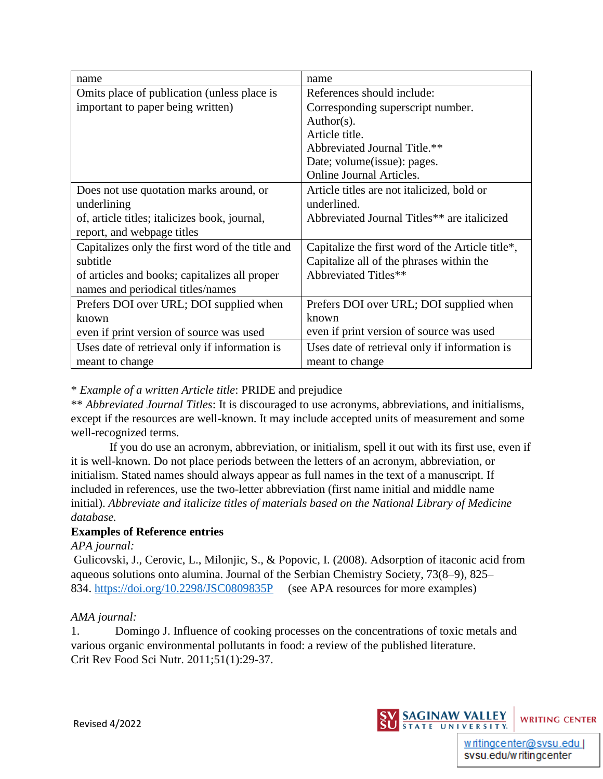| name                                             | name                                             |
|--------------------------------------------------|--------------------------------------------------|
| Omits place of publication (unless place is      | References should include:                       |
| important to paper being written)                | Corresponding superscript number.                |
|                                                  | $Author(s)$ .                                    |
|                                                  | Article title.                                   |
|                                                  | Abbreviated Journal Title.**                     |
|                                                  | Date; volume(issue): pages.                      |
|                                                  | <b>Online Journal Articles.</b>                  |
| Does not use quotation marks around, or          | Article titles are not italicized, bold or       |
| underlining                                      | underlined.                                      |
| of, article titles; italicizes book, journal,    | Abbreviated Journal Titles** are italicized      |
| report, and webpage titles                       |                                                  |
| Capitalizes only the first word of the title and | Capitalize the first word of the Article title*, |
| subtitle                                         | Capitalize all of the phrases within the         |
| of articles and books; capitalizes all proper    | Abbreviated Titles**                             |
| names and periodical titles/names                |                                                  |
| Prefers DOI over URL; DOI supplied when          | Prefers DOI over URL; DOI supplied when          |
| known                                            | known                                            |
| even if print version of source was used         | even if print version of source was used         |
| Uses date of retrieval only if information is    | Uses date of retrieval only if information is    |
| meant to change                                  | meant to change                                  |

## \* *Example of a written Article title*: PRIDE and prejudice

\*\* *Abbreviated Journal Titles*: It is discouraged to use acronyms, abbreviations, and initialisms, except if the resources are well-known. It may include accepted units of measurement and some well-recognized terms.

If you do use an acronym, abbreviation, or initialism, spell it out with its first use, even if it is well-known. Do not place periods between the letters of an acronym, abbreviation, or initialism. Stated names should always appear as full names in the text of a manuscript. If included in references, use the two-letter abbreviation (first name initial and middle name initial). *Abbreviate and italicize titles of materials based on the National Library of Medicine database.*

## **Examples of Reference entries**

*APA journal:*

Gulicovski, J., Cerovic, L., Milonjic, S., & Popovic, I. (2008). Adsorption of itaconic acid from aqueous solutions onto alumina. Journal of the Serbian Chemistry Society, 73(8–9), 825– 834.<https://doi.org/10.2298/JSC0809835P>(see APA resources for more examples)

## *AMA journal:*

1. Domingo J. Influence of cooking processes on the concentrations of toxic metals and various organic environmental pollutants in food: a review of the published literature. Crit Rev Food Sci Nutr. 2011;51(1):29-37.



svsu.edu/writingcenter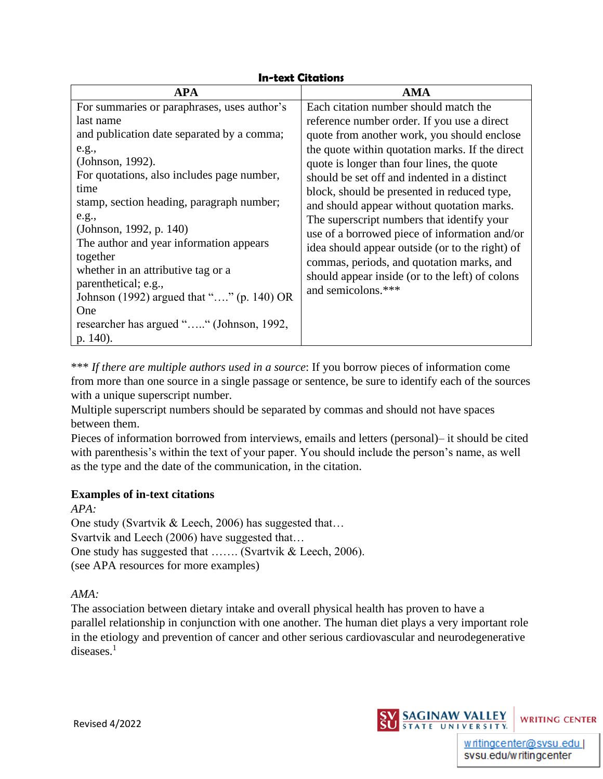# **In-text Citations**

| <b>APA</b>                                  | AMA                                             |
|---------------------------------------------|-------------------------------------------------|
| For summaries or paraphrases, uses author's | Each citation number should match the           |
| last name                                   | reference number order. If you use a direct     |
| and publication date separated by a comma;  | quote from another work, you should enclose     |
| e.g.,                                       | the quote within quotation marks. If the direct |
| (Johnson, 1992).                            | quote is longer than four lines, the quote      |
| For quotations, also includes page number,  | should be set off and indented in a distinct    |
| time                                        | block, should be presented in reduced type,     |
| stamp, section heading, paragraph number;   | and should appear without quotation marks.      |
| e.g.,                                       | The superscript numbers that identify your      |
| (Johnson, 1992, p. 140)                     | use of a borrowed piece of information and/or   |
| The author and year information appears     | idea should appear outside (or to the right) of |
| together                                    | commas, periods, and quotation marks, and       |
| whether in an attributive tag or a          | should appear inside (or to the left) of colons |
| parenthetical; e.g.,                        | and semicolons.***                              |
| Johnson (1992) argued that "" (p. 140) OR   |                                                 |
| One                                         |                                                 |
| researcher has argued "" (Johnson, 1992,    |                                                 |
| p. 140).                                    |                                                 |

\*\*\* *If there are multiple authors used in a source*: If you borrow pieces of information come from more than one source in a single passage or sentence, be sure to identify each of the sources with a unique superscript number.

Multiple superscript numbers should be separated by commas and should not have spaces between them.

Pieces of information borrowed from interviews, emails and letters (personal)– it should be cited with parenthesis's within the text of your paper. You should include the person's name, as well as the type and the date of the communication, in the citation.

## **Examples of in-text citations**

*APA:*

One study (Svartvik & Leech, 2006) has suggested that… Svartvik and Leech (2006) have suggested that… One study has suggested that ……. (Svartvik & Leech, 2006). (see APA resources for more examples)

*AMA:*

The association between dietary intake and overall physical health has proven to have a parallel relationship in conjunction with one another. The human diet plays a very important role in the etiology and prevention of cancer and other serious cardiovascular and neurodegenerative diseases.<sup>1</sup>



svsu.edu/writingcenter